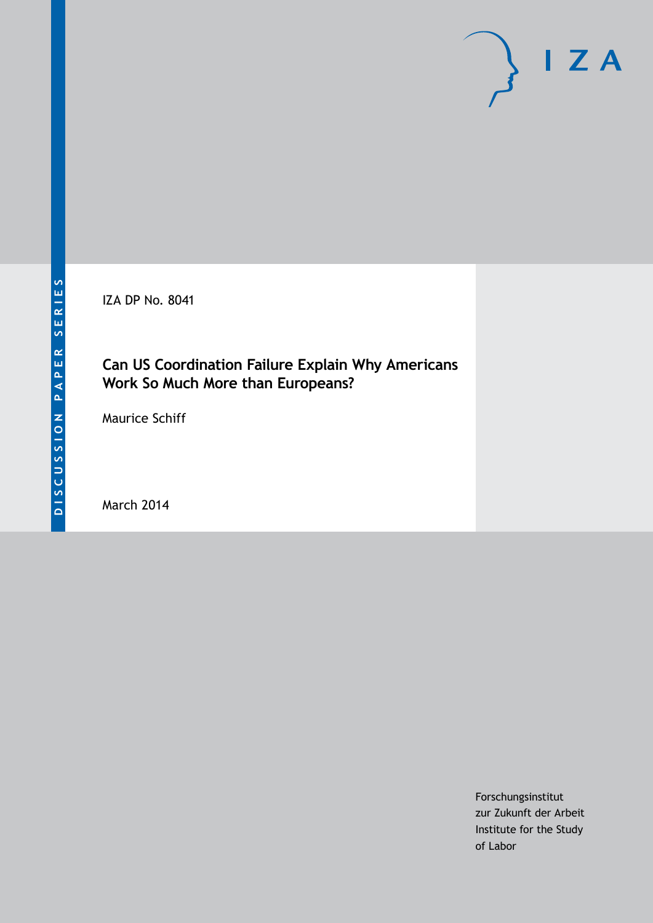IZA DP No. 8041

# **Can US Coordination Failure Explain Why Americans Work So Much More than Europeans?**

Maurice Schiff

March 2014

Forschungsinstitut zur Zukunft der Arbeit Institute for the Study of Labor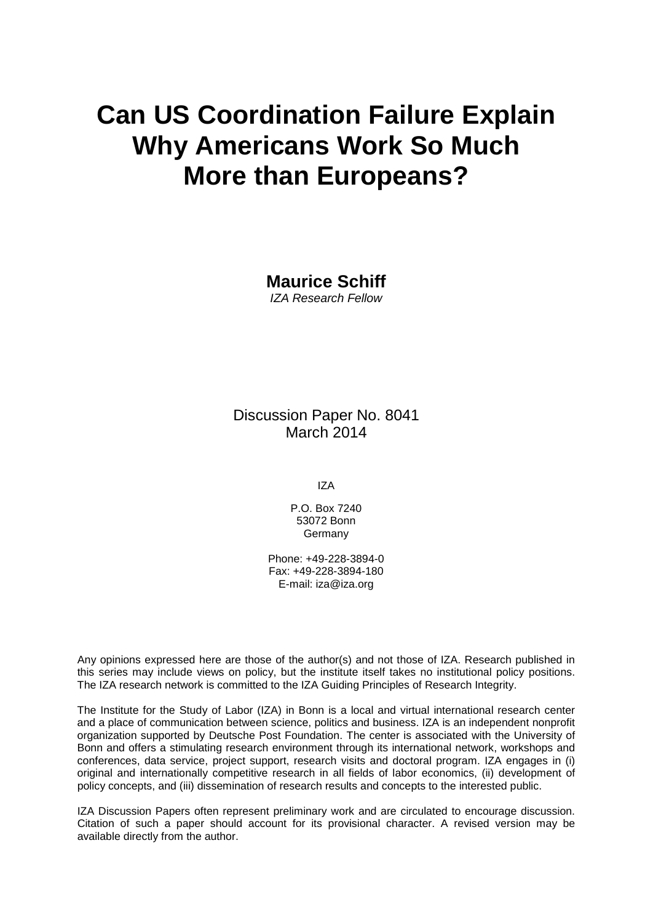# **Can US Coordination Failure Explain Why Americans Work So Much More than Europeans?**

**Maurice Schiff** *IZA Research Fellow*

Discussion Paper No. 8041 March 2014

IZA

P.O. Box 7240 53072 Bonn **Germany** 

Phone: +49-228-3894-0 Fax: +49-228-3894-180 E-mail: [iza@iza.org](mailto:iza@iza.org)

Any opinions expressed here are those of the author(s) and not those of IZA. Research published in this series may include views on policy, but the institute itself takes no institutional policy positions. The IZA research network is committed to the IZA Guiding Principles of Research Integrity.

The Institute for the Study of Labor (IZA) in Bonn is a local and virtual international research center and a place of communication between science, politics and business. IZA is an independent nonprofit organization supported by Deutsche Post Foundation. The center is associated with the University of Bonn and offers a stimulating research environment through its international network, workshops and conferences, data service, project support, research visits and doctoral program. IZA engages in (i) original and internationally competitive research in all fields of labor economics, (ii) development of policy concepts, and (iii) dissemination of research results and concepts to the interested public.

IZA Discussion Papers often represent preliminary work and are circulated to encourage discussion. Citation of such a paper should account for its provisional character. A revised version may be available directly from the author.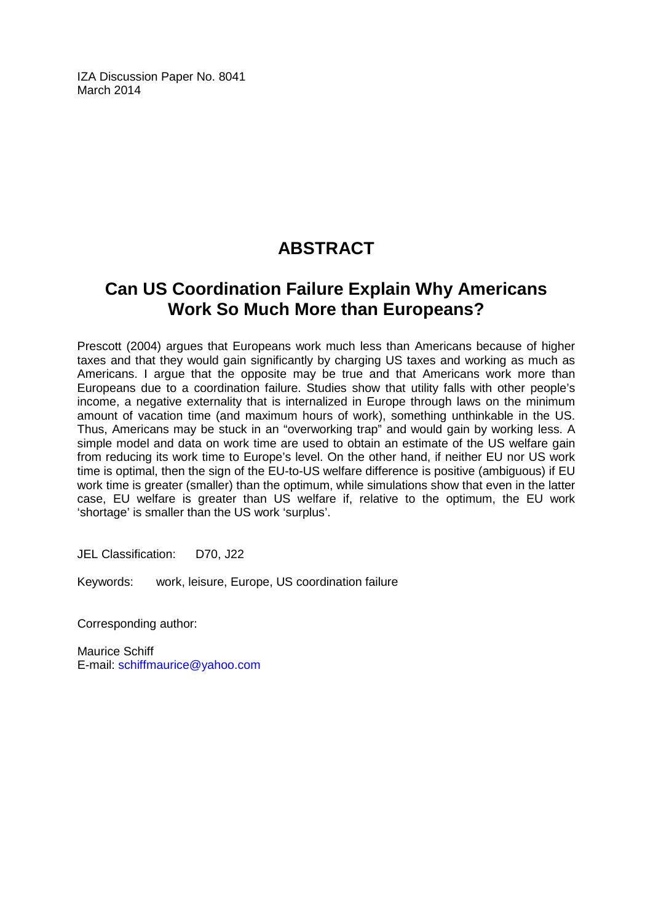IZA Discussion Paper No. 8041 March 2014

# **ABSTRACT**

# **Can US Coordination Failure Explain Why Americans Work So Much More than Europeans?**

Prescott (2004) argues that Europeans work much less than Americans because of higher taxes and that they would gain significantly by charging US taxes and working as much as Americans. I argue that the opposite may be true and that Americans work more than Europeans due to a coordination failure. Studies show that utility falls with other people's income, a negative externality that is internalized in Europe through laws on the minimum amount of vacation time (and maximum hours of work), something unthinkable in the US. Thus, Americans may be stuck in an "overworking trap" and would gain by working less. A simple model and data on work time are used to obtain an estimate of the US welfare gain from reducing its work time to Europe's level. On the other hand, if neither EU nor US work time is optimal, then the sign of the EU-to-US welfare difference is positive (ambiguous) if EU work time is greater (smaller) than the optimum, while simulations show that even in the latter case, EU welfare is greater than US welfare if, relative to the optimum, the EU work 'shortage' is smaller than the US work 'surplus'.

JEL Classification: D70, J22

Keywords: work, leisure, Europe, US coordination failure

Corresponding author:

Maurice Schiff E-mail: [schiffmaurice@yahoo.com](mailto:schiffmaurice@yahoo.com)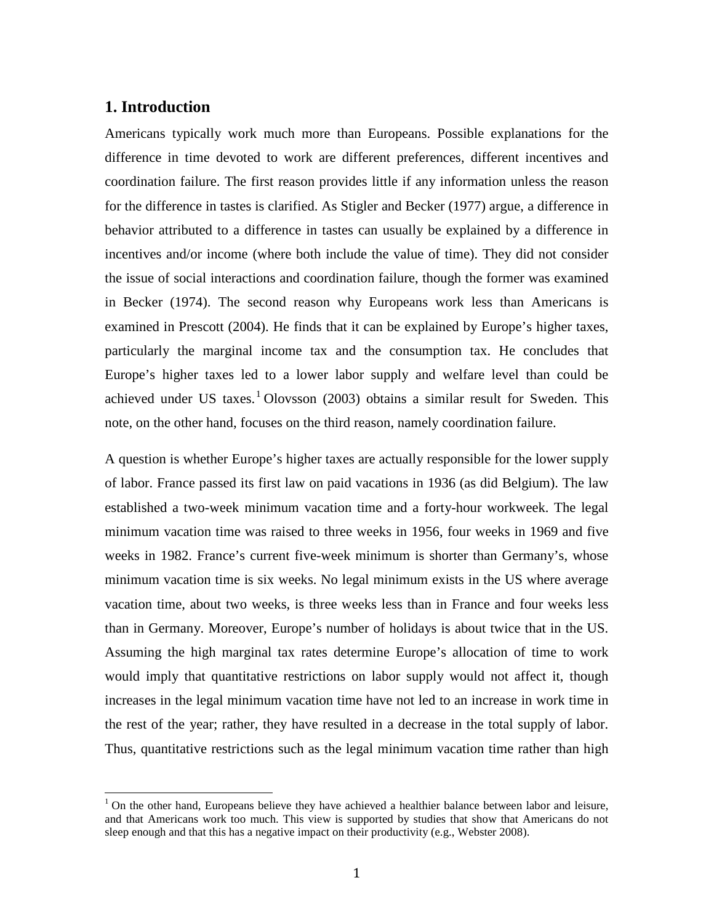# **1. Introduction**

Americans typically work much more than Europeans. Possible explanations for the difference in time devoted to work are different preferences, different incentives and coordination failure. The first reason provides little if any information unless the reason for the difference in tastes is clarified. As Stigler and Becker (1977) argue, a difference in behavior attributed to a difference in tastes can usually be explained by a difference in incentives and/or income (where both include the value of time). They did not consider the issue of social interactions and coordination failure, though the former was examined in Becker (1974). The second reason why Europeans work less than Americans is examined in Prescott (2004). He finds that it can be explained by Europe's higher taxes, particularly the marginal income tax and the consumption tax. He concludes that Europe's higher taxes led to a lower labor supply and welfare level than could be achieved under US taxes.<sup>1</sup> Olovsson (2003) obtains a similar result for Sweden. This note, on the other hand, focuses on the third reason, namely coordination failure.

<span id="page-3-0"></span>A question is whether Europe's higher taxes are actually responsible for the lower supply of labor. France passed its first law on paid vacations in 1936 (as did Belgium). The law established a two-week minimum vacation time and a forty-hour workweek. The legal minimum vacation time was raised to three weeks in 1956, four weeks in 1969 and five weeks in 1982. France's current five-week minimum is shorter than Germany's, whose minimum vacation time is six weeks. No legal minimum exists in the US where average vacation time, about two weeks, is three weeks less than in France and four weeks less than in Germany. Moreover, Europe's number of holidays is about twice that in the US. Assuming the high marginal tax rates determine Europe's allocation of time to work would imply that quantitative restrictions on labor supply would not affect it, though increases in the legal minimum vacation time have not led to an increase in work time in the rest of the year; rather, they have resulted in a decrease in the total supply of labor. Thus, quantitative restrictions such as the legal minimum vacation time rather than high

 $1$  On the other hand, Europeans believe they have achieved a healthier balance between labor and leisure, and that Americans work too much. This view is supported by studies that show that Americans do not sleep enough and that this has a negative impact on their productivity (e.g., Webster 2008).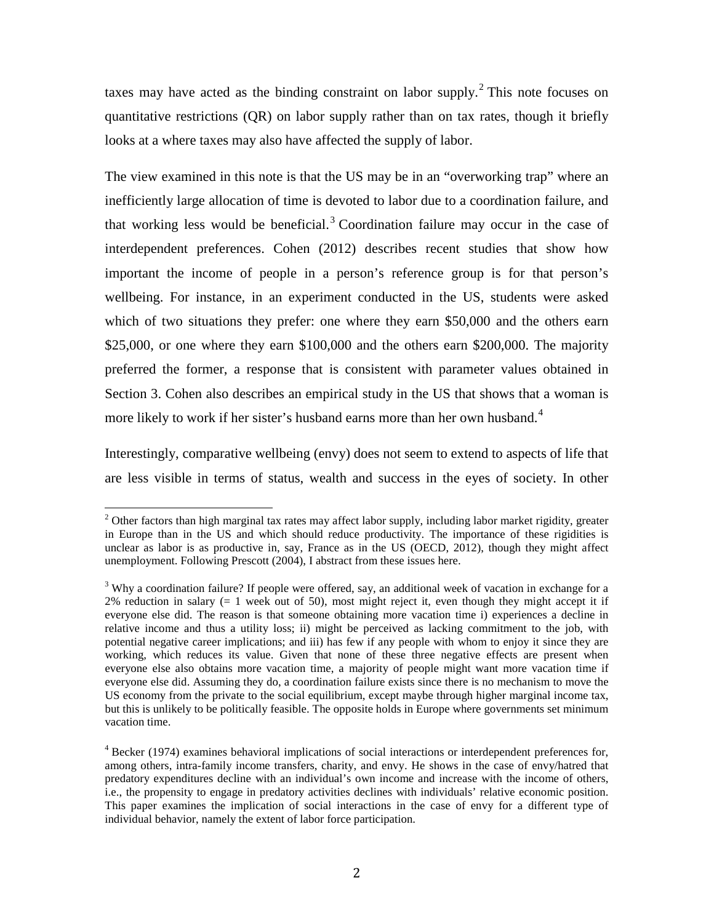taxes may have acted as the binding constraint on labor supply.<sup>[2](#page-3-0)</sup> This note focuses on quantitative restrictions (QR) on labor supply rather than on tax rates, though it briefly looks at a where taxes may also have affected the supply of labor.

The view examined in this note is that the US may be in an "overworking trap" where an inefficiently large allocation of time is devoted to labor due to a coordination failure, and that working less would be beneficial. [3](#page-4-0) Coordination failure may occur in the case of interdependent preferences. Cohen (2012) describes recent studies that show how important the income of people in a person's reference group is for that person's wellbeing. For instance, in an experiment conducted in the US, students were asked which of two situations they prefer: one where they earn \$50,000 and the others earn \$25,000, or one where they earn \$100,000 and the others earn \$200,000. The majority preferred the former, a response that is consistent with parameter values obtained in Section 3. Cohen also describes an empirical study in the US that shows that a woman is more likely to work if her sister's husband earns more than her own husband.<sup>[4](#page-4-1)</sup>

Interestingly, comparative wellbeing (envy) does not seem to extend to aspects of life that are less visible in terms of status, wealth and success in the eyes of society. In other

<sup>&</sup>lt;sup>2</sup> Other factors than high marginal tax rates may affect labor supply, including labor market rigidity, greater in Europe than in the US and which should reduce productivity. The importance of these rigidities is unclear as labor is as productive in, say, France as in the US (OECD, 2012), though they might affect unemployment. Following Prescott (2004), I abstract from these issues here.

<span id="page-4-0"></span><sup>&</sup>lt;sup>3</sup> Why a coordination failure? If people were offered, say, an additional week of vacation in exchange for a  $2\%$  reduction in salary (= 1 week out of 50), most might reject it, even though they might accept it if everyone else did. The reason is that someone obtaining more vacation time i) experiences a decline in relative income and thus a utility loss; ii) might be perceived as lacking commitment to the job, with potential negative career implications; and iii) has few if any people with whom to enjoy it since they are working, which reduces its value. Given that none of these three negative effects are present when everyone else also obtains more vacation time, a majority of people might want more vacation time if everyone else did. Assuming they do, a coordination failure exists since there is no mechanism to move the US economy from the private to the social equilibrium, except maybe through higher marginal income tax, but this is unlikely to be politically feasible. The opposite holds in Europe where governments set minimum vacation time.

<span id="page-4-2"></span><span id="page-4-1"></span> $4$  Becker (1974) examines behavioral implications of social interactions or interdependent preferences for, among others, intra-family income transfers, charity, and envy. He shows in the case of envy/hatred that predatory expenditures decline with an individual's own income and increase with the income of others, i.e., the propensity to engage in predatory activities declines with individuals' relative economic position. This paper examines the implication of social interactions in the case of envy for a different type of individual behavior, namely the extent of labor force participation.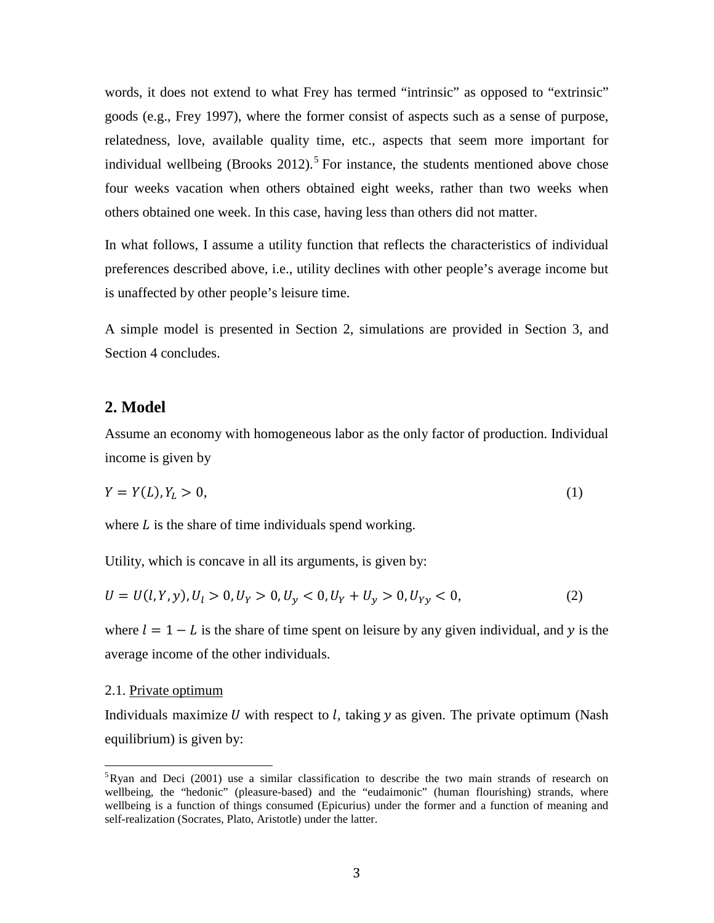words, it does not extend to what Frey has termed "intrinsic" as opposed to "extrinsic" goods (e.g., Frey 1997), where the former consist of aspects such as a sense of purpose, relatedness, love, available quality time, etc., aspects that seem more important for individual wellbeing (Brooks 2012).<sup>[5](#page-4-2)</sup> For instance, the students mentioned above chose four weeks vacation when others obtained eight weeks, rather than two weeks when others obtained one week. In this case, having less than others did not matter.

In what follows, I assume a utility function that reflects the characteristics of individual preferences described above, i.e., utility declines with other people's average income but is unaffected by other people's leisure time.

A simple model is presented in Section 2, simulations are provided in Section 3, and Section 4 concludes.

### **2. Model**

Assume an economy with homogeneous labor as the only factor of production. Individual income is given by

$$
Y = Y(L), Y_L > 0,\tag{1}
$$

where  $L$  is the share of time individuals spend working.

Utility, which is concave in all its arguments, is given by:

$$
U = U(l, Y, y), U_l > 0, U_Y > 0, U_y < 0, U_Y + U_y > 0, U_{Yy} < 0,
$$
\n
$$
(2)
$$

where  $l = 1 - L$  is the share of time spent on leisure by any given individual, and y is the average income of the other individuals.

#### 2.1. Private optimum

Individuals maximize U with respect to  $l$ , taking  $y$  as given. The private optimum (Nash equilibrium) is given by:

<span id="page-5-0"></span>5 Ryan and Deci (2001) use a similar classification to describe the two main strands of research on wellbeing, the "hedonic" (pleasure-based) and the "eudaimonic" (human flourishing) strands, where wellbeing is a function of things consumed (Epicurius) under the former and a function of meaning and self-realization (Socrates, Plato, Aristotle) under the latter.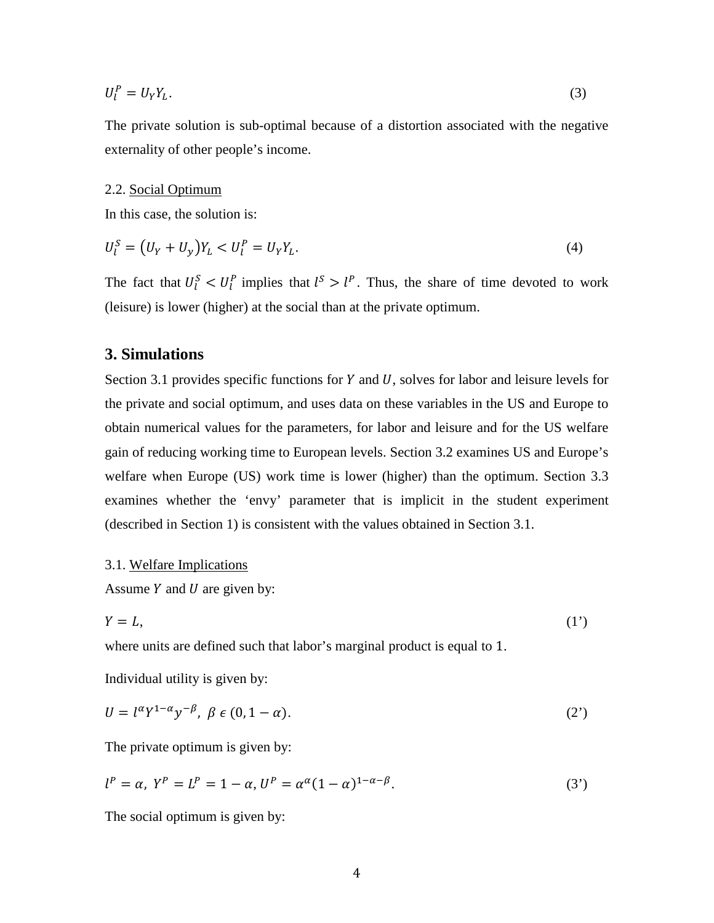$$
U_l^P = U_Y Y_L. \tag{3}
$$

The private solution is sub-optimal because of a distortion associated with the negative externality of other people's income.

#### 2.2. Social Optimum

In this case, the solution is:

$$
U_l^S = (U_Y + U_y)Y_L < U_l^P = U_Y Y_L. \tag{4}
$$

The fact that  $U_l^S < U_l^P$  implies that  $l^S > l^P$ . Thus, the share of time devoted to work (leisure) is lower (higher) at the social than at the private optimum.

### **3. Simulations**

Section 3.1 provides specific functions for  $Y$  and  $U$ , solves for labor and leisure levels for the private and social optimum, and uses data on these variables in the US and Europe to obtain numerical values for the parameters, for labor and leisure and for the US welfare gain of reducing working time to European levels. Section 3.2 examines US and Europe's welfare when Europe (US) work time is lower (higher) than the optimum. Section 3.3 examines whether the 'envy' parameter that is implicit in the student experiment (described in Section 1) is consistent with the values obtained in Section 3.1.

#### 3.1. Welfare Implications

Assume  $Y$  and  $U$  are given by:

$$
Y = L,\tag{1'}
$$

where units are defined such that labor's marginal product is equal to 1.

Individual utility is given by:

$$
U = l^{\alpha} Y^{1-\alpha} y^{-\beta}, \ \beta \in (0, 1-\alpha). \tag{2'}
$$

The private optimum is given by:

$$
l^{P} = \alpha, \ Y^{P} = L^{P} = 1 - \alpha, \ U^{P} = \alpha^{\alpha} (1 - \alpha)^{1 - \alpha - \beta}.
$$
 (3')

The social optimum is given by: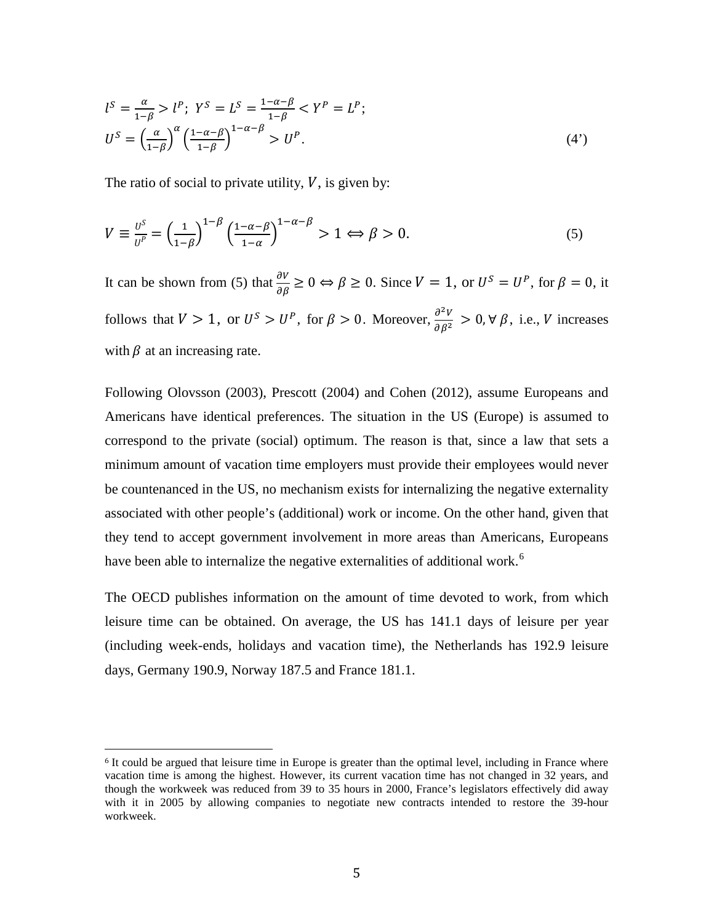$$
l^{S} = \frac{\alpha}{1-\beta} > l^{P}; \ Y^{S} = L^{S} = \frac{1-\alpha-\beta}{1-\beta} < Y^{P} = L^{P};
$$
  

$$
U^{S} = \left(\frac{\alpha}{1-\beta}\right)^{\alpha} \left(\frac{1-\alpha-\beta}{1-\beta}\right)^{1-\alpha-\beta} > U^{P}.
$$
 (4')

The ratio of social to private utility,  $V$ , is given by:

$$
V \equiv \frac{v^{\mathcal{S}}}{v^{\mathcal{P}}} = \left(\frac{1}{1-\beta}\right)^{1-\beta} \left(\frac{1-\alpha-\beta}{1-\alpha}\right)^{1-\alpha-\beta} > 1 \Leftrightarrow \beta > 0. \tag{5}
$$

It can be shown from (5) that  $\frac{\partial V}{\partial \beta} \ge 0 \Leftrightarrow \beta \ge 0$ . Since  $V = 1$ , or  $U^S = U^P$ , for  $\beta = 0$ , it follows that  $V > 1$ , or  $U^S > U^P$ , for  $\beta > 0$ . Moreover,  $\frac{\partial^2 V}{\partial \beta^2} > 0$ ,  $\forall \beta$ , i.e., V increases with  $\beta$  at an increasing rate.

Following Olovsson (2003), Prescott (2004) and Cohen (2012), assume Europeans and Americans have identical preferences. The situation in the US (Europe) is assumed to correspond to the private (social) optimum. The reason is that, since a law that sets a minimum amount of vacation time employers must provide their employees would never be countenanced in the US, no mechanism exists for internalizing the negative externality associated with other people's (additional) work or income. On the other hand, given that they tend to accept government involvement in more areas than Americans, Europeans have been able to internalize the negative externalities of additional work.<sup>[6](#page-5-0)</sup>

The OECD publishes information on the amount of time devoted to work, from which leisure time can be obtained. On average, the US has 141.1 days of leisure per year (including week-ends, holidays and vacation time), the Netherlands has 192.9 leisure days, Germany 190.9, Norway 187.5 and France 181.1.

<span id="page-7-0"></span> <sup>6</sup> It could be argued that leisure time in Europe is greater than the optimal level, including in France where vacation time is among the highest. However, its current vacation time has not changed in 32 years, and though the workweek was reduced from 39 to 35 hours in 2000, France's legislators effectively did away with it in 2005 by allowing companies to negotiate new contracts intended to restore the 39-hour workweek.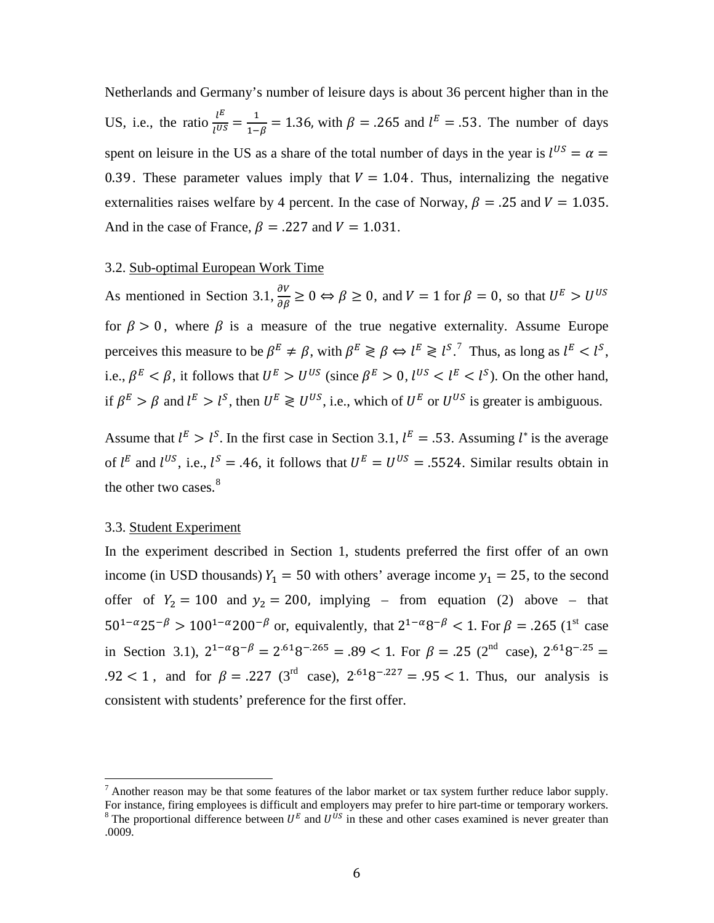Netherlands and Germany's number of leisure days is about 36 percent higher than in the US, i.e., the ratio  $\frac{l^E}{l^{US}} = \frac{1}{1-\beta} = 1.36$ , with  $\beta = .265$  and  $l^E = .53$ . The number of days spent on leisure in the US as a share of the total number of days in the year is  $l^{US} = \alpha$ 0.39. These parameter values imply that  $V = 1.04$ . Thus, internalizing the negative externalities raises welfare by 4 percent. In the case of Norway,  $\beta = .25$  and  $V = 1.035$ . And in the case of France,  $\beta = .227$  and  $V = 1.031$ .

#### 3.2. Sub-optimal European Work Time

As mentioned in Section 3.1,  $\frac{\partial V}{\partial \beta} \ge 0 \Leftrightarrow \beta \ge 0$ , and  $V = 1$  for  $\beta = 0$ , so that  $U^E > U^{US}$ for  $\beta > 0$ , where  $\beta$  is a measure of the true negative externality. Assume Europe perceives this measure to be  $\beta^E \neq \beta$ , with  $\beta^E \geq \beta \Leftrightarrow l^E \geq l^{S}$ .<sup>[7](#page-7-0)</sup> Thus, as long as  $l^E < l^S$ , i.e.,  $\beta^E < \beta$ , it follows that  $U^E > U^{US}$  (since  $\beta^E > 0$ ,  $l^{US} < l^E < l^S$ ). On the other hand, if  $\beta^E > \beta$  and  $l^E > l^S$ , then  $U^E \ge U^{US}$ , i.e., which of  $U^E$  or  $U^{US}$  is greater is ambiguous.

Assume that  $l^E > l^S$ . In the first case in Section 3.1,  $l^E = .53$ . Assuming  $l^*$  is the average of  $l^E$  and  $l^{US}$ , i.e.,  $l^S = .46$ , it follows that  $U^E = U^{US} = .5524$ . Similar results obtain in the other two cases.<sup>[8](#page-8-0)</sup>

#### 3.3. Student Experiment

In the experiment described in Section 1, students preferred the first offer of an own income (in USD thousands)  $Y_1 = 50$  with others' average income  $y_1 = 25$ , to the second offer of  $Y_2 = 100$  and  $y_2 = 200$ , implying – from equation (2) above – that  $50^{1-\alpha} 25^{-\beta} > 100^{1-\alpha} 200^{-\beta}$  or, equivalently, that  $2^{1-\alpha} 8^{-\beta} < 1$ . For  $\beta = .265$  (1<sup>st</sup> case in Section 3.1),  $2^{1-\alpha}8^{-\beta} = 2^{.61}8^{-.265} = .89 < 1$ . For  $\beta = .25$  (2<sup>nd</sup> case),  $2^{.61}8^{-.25} =$ .92 < 1, and for  $\beta = .227$  (3<sup>rd</sup> case),  $2.618^{-.227} = .95 < 1$ . Thus, our analysis is consistent with students' preference for the first offer.

 $^7$  Another reason may be that some features of the labor market or tax system further reduce labor supply.<br>For instance, firing employees is difficult and employers may prefer to hire part-time or temporary workers.

<span id="page-8-0"></span><sup>&</sup>lt;sup>8</sup> The proportional difference between  $U^E$  and  $U^{US}$  in these and other cases examined is never greater than .0009.